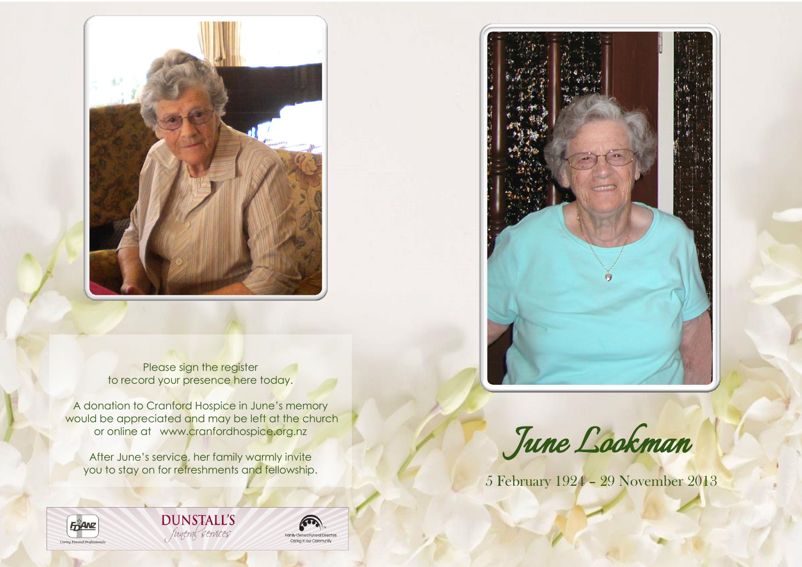

Please sign the register to record your presence here today.

A donation to Cranford Hospice in June's memory would be appreciated and may be left at the church or online at www.cranfordhospice.org.nz

After June's service, her family warmly invite you to stay on for refreshments and fellowship.



**DUNSTALL'S** funeral services





*June Lookman* 

5 February 1924 – 29 November 2013